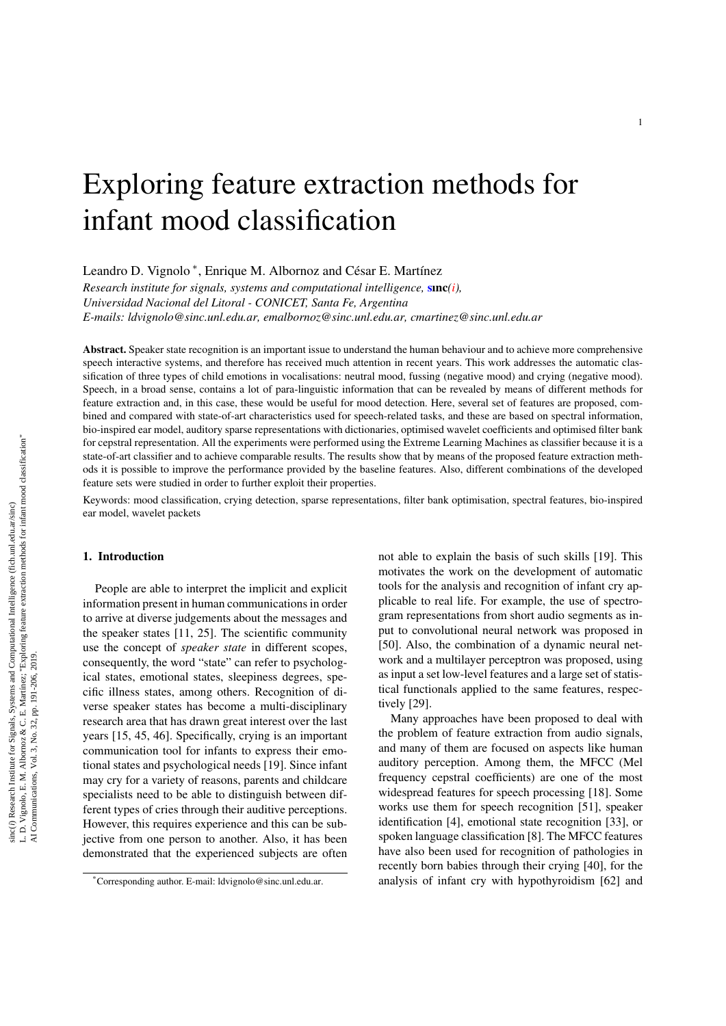# Exploring feature extraction methods for infant mood classification

Leandro D. Vignolo<sup>\*</sup>, Enrique M. Albornoz and César E. Martínez

*Research institute for signals, systems and computational intelligence,* sınc*(i), Universidad Nacional del Litoral - CONICET, Santa Fe, Argentina E-mails: [ldvignolo@sinc.unl.edu.ar,](mailto:ldvignolo@sinc.unl.edu.ar) [emalbornoz@sinc.unl.edu.ar,](mailto:emalbornoz@sinc.unl.edu.ar) [cmartinez@sinc.unl.edu.ar](mailto:cmartinez@sinc.unl.edu.ar)*

Abstract. Speaker state recognition is an important issue to understand the human behaviour and to achieve more comprehensive speech interactive systems, and therefore has received much attention in recent years. This work addresses the automatic classification of three types of child emotions in vocalisations: neutral mood, fussing (negative mood) and crying (negative mood). Speech, in a broad sense, contains a lot of para-linguistic information that can be revealed by means of different methods for feature extraction and, in this case, these would be useful for mood detection. Here, several set of features are proposed, combined and compared with state-of-art characteristics used for speech-related tasks, and these are based on spectral information, bio-inspired ear model, auditory sparse representations with dictionaries, optimised wavelet coefficients and optimised filter bank for cepstral representation. All the experiments were performed using the Extreme Learning Machines as classifier because it is a state-of-art classifier and to achieve comparable results. The results show that by means of the proposed feature extraction methods it is possible to improve the performance provided by the baseline features. Also, different combinations of the developed feature sets were studied in order to further exploit their properties.

Keywords: mood classification, crying detection, sparse representations, filter bank optimisation, spectral features, bio-inspired ear model, wavelet packets

## 1. Introduction

People are able to interpret the implicit and explicit information present in human communications in order to arrive at diverse judgements about the messages and the speaker states [\[11,](#page-13-0) [25\]](#page-13-1). The scientific community use the concept of *speaker state* in different scopes, consequently, the word "state" can refer to psychological states, emotional states, sleepiness degrees, specific illness states, among others. Recognition of diverse speaker states has become a multi-disciplinary research area that has drawn great interest over the last years [\[15,](#page-13-2) [45,](#page-14-0) [46\]](#page-14-1). Specifically, crying is an important communication tool for infants to express their emotional states and psychological needs [\[19\]](#page-13-3). Since infant may cry for a variety of reasons, parents and childcare specialists need to be able to distinguish between different types of cries through their auditive perceptions. However, this requires experience and this can be subjective from one person to another. Also, it has been demonstrated that the experienced subjects are often not able to explain the basis of such skills [\[19\]](#page-13-3). This motivates the work on the development of automatic tools for the analysis and recognition of infant cry applicable to real life. For example, the use of spectrogram representations from short audio segments as input to convolutional neural network was proposed in [\[50\]](#page-14-2). Also, the combination of a dynamic neural network and a multilayer perceptron was proposed, using as input a set low-level features and a large set of statistical functionals applied to the same features, respectively [\[29\]](#page-13-4).

Many approaches have been proposed to deal with the problem of feature extraction from audio signals, and many of them are focused on aspects like human auditory perception. Among them, the MFCC (Mel frequency cepstral coefficients) are one of the most widespread features for speech processing [\[18\]](#page-13-5). Some works use them for speech recognition [\[51\]](#page-14-3), speaker identification [\[4\]](#page-13-6), emotional state recognition [\[33\]](#page-13-7), or spoken language classification [\[8\]](#page-13-8). The MFCC features have also been used for recognition of pathologies in recently born babies through their crying [\[40\]](#page-14-4), for the analysis of infant cry with hypothyroidism [\[62\]](#page-14-5) and

<span id="page-0-0"></span><sup>\*</sup>Corresponding author. E-mail: [ldvignolo@sinc.unl.edu.ar.](mailto:ldvignolo@sinc.unl.edu.ar)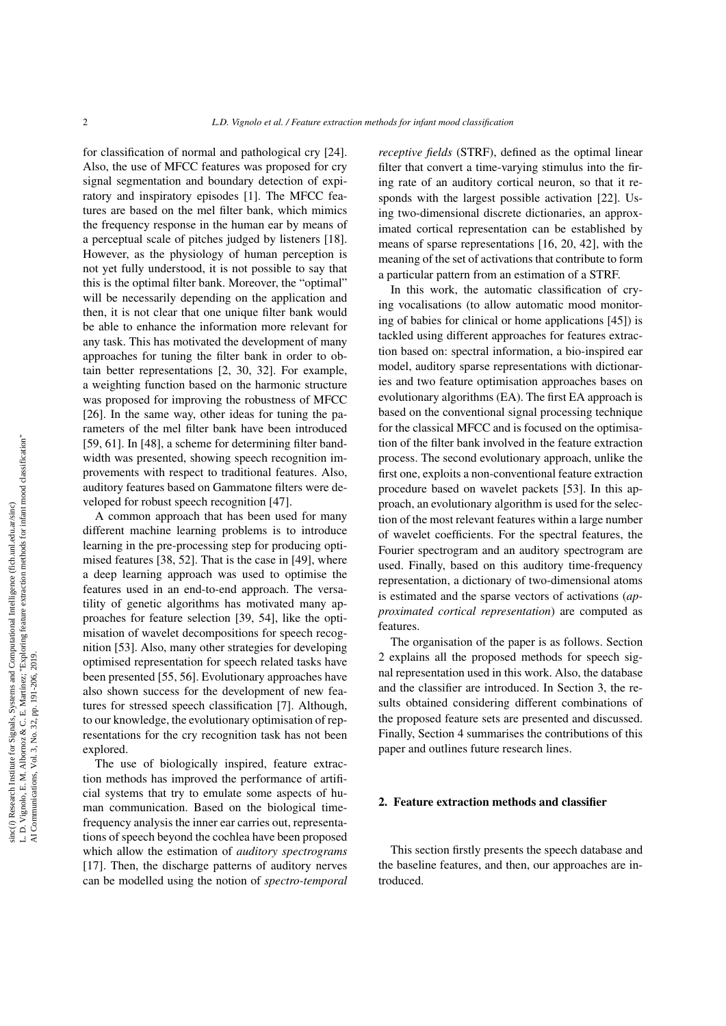for classification of normal and pathological cry [\[24\]](#page-13-9). Also, the use of MFCC features was proposed for cry signal segmentation and boundary detection of expiratory and inspiratory episodes [\[1\]](#page-12-0). The MFCC features are based on the mel filter bank, which mimics the frequency response in the human ear by means of a perceptual scale of pitches judged by listeners [\[18\]](#page-13-5). However, as the physiology of human perception is not yet fully understood, it is not possible to say that this is the optimal filter bank. Moreover, the "optimal" will be necessarily depending on the application and then, it is not clear that one unique filter bank would be able to enhance the information more relevant for any task. This has motivated the development of many approaches for tuning the filter bank in order to obtain better representations [\[2,](#page-13-10) [30,](#page-13-11) [32\]](#page-13-12). For example, a weighting function based on the harmonic structure was proposed for improving the robustness of MFCC [\[26\]](#page-13-13). In the same way, other ideas for tuning the parameters of the mel filter bank have been introduced [\[59,](#page-14-6) [61\]](#page-14-7). In [\[48\]](#page-14-8), a scheme for determining filter bandwidth was presented, showing speech recognition improvements with respect to traditional features. Also, auditory features based on Gammatone filters were developed for robust speech recognition [\[47\]](#page-14-9).

A common approach that has been used for many different machine learning problems is to introduce learning in the pre-processing step for producing optimised features [\[38,](#page-14-10) [52\]](#page-14-11). That is the case in [\[49\]](#page-14-12), where a deep learning approach was used to optimise the features used in an end-to-end approach. The versatility of genetic algorithms has motivated many approaches for feature selection [\[39,](#page-14-13) [54\]](#page-14-14), like the optimisation of wavelet decompositions for speech recognition [\[53\]](#page-14-15). Also, many other strategies for developing optimised representation for speech related tasks have been presented [\[55,](#page-14-16) [56\]](#page-14-17). Evolutionary approaches have also shown success for the development of new features for stressed speech classification [\[7\]](#page-13-14). Although, to our knowledge, the evolutionary optimisation of representations for the cry recognition task has not been explored.

The use of biologically inspired, feature extraction methods has improved the performance of artificial systems that try to emulate some aspects of human communication. Based on the biological timefrequency analysis the inner ear carries out, representations of speech beyond the cochlea have been proposed which allow the estimation of *auditory spectrograms* [\[17\]](#page-13-15). Then, the discharge patterns of auditory nerves can be modelled using the notion of *spectro-temporal* *receptive fields* (STRF), defined as the optimal linear filter that convert a time-varying stimulus into the firing rate of an auditory cortical neuron, so that it responds with the largest possible activation [\[22\]](#page-13-16). Using two-dimensional discrete dictionaries, an approximated cortical representation can be established by means of sparse representations [\[16,](#page-13-17) [20,](#page-13-18) [42\]](#page-14-18), with the meaning of the set of activations that contribute to form a particular pattern from an estimation of a STRF.

In this work, the automatic classification of crying vocalisations (to allow automatic mood monitoring of babies for clinical or home applications [\[45\]](#page-14-0)) is tackled using different approaches for features extraction based on: spectral information, a bio-inspired ear model, auditory sparse representations with dictionaries and two feature optimisation approaches bases on evolutionary algorithms (EA). The first EA approach is based on the conventional signal processing technique for the classical MFCC and is focused on the optimisation of the filter bank involved in the feature extraction process. The second evolutionary approach, unlike the first one, exploits a non-conventional feature extraction procedure based on wavelet packets [\[53\]](#page-14-15). In this approach, an evolutionary algorithm is used for the selection of the most relevant features within a large number of wavelet coefficients. For the spectral features, the Fourier spectrogram and an auditory spectrogram are used. Finally, based on this auditory time-frequency representation, a dictionary of two-dimensional atoms is estimated and the sparse vectors of activations (*approximated cortical representation*) are computed as features.

The organisation of the paper is as follows. Section 2 explains all the proposed methods for speech signal representation used in this work. Also, the database and the classifier are introduced. In Section 3, the results obtained considering different combinations of the proposed feature sets are presented and discussed. Finally, Section 4 summarises the contributions of this paper and outlines future research lines.

## 2. Feature extraction methods and classifier

This section firstly presents the speech database and the baseline features, and then, our approaches are introduced.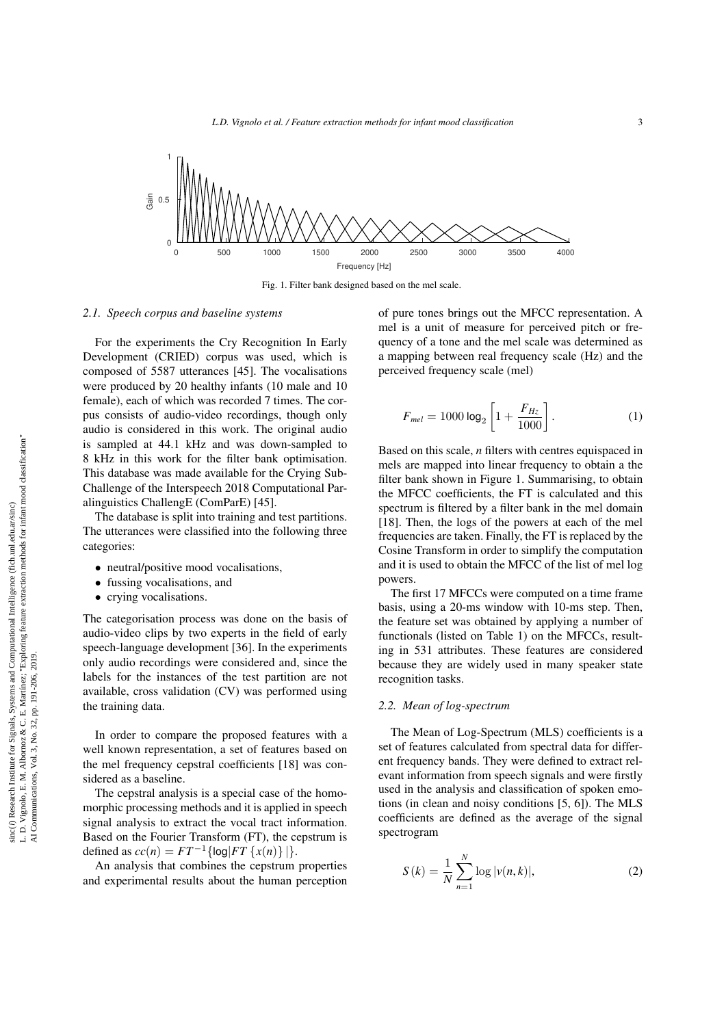

<span id="page-2-0"></span>Fig. 1. Filter bank designed based on the mel scale.

## *2.1. Speech corpus and baseline systems*

For the experiments the Cry Recognition In Early Development (CRIED) corpus was used, which is composed of 5587 utterances [\[45\]](#page-14-0). The vocalisations were produced by 20 healthy infants (10 male and 10 female), each of which was recorded 7 times. The corpus consists of audio-video recordings, though only audio is considered in this work. The original audio is sampled at 44.1 kHz and was down-sampled to 8 kHz in this work for the filter bank optimisation. This database was made available for the Crying Sub-Challenge of the Interspeech 2018 Computational Paralinguistics ChallengE (ComParE) [\[45\]](#page-14-0).

The database is split into training and test partitions. The utterances were classified into the following three categories:

- neutral/positive mood vocalisations.
- fussing vocalisations, and
- crying vocalisations.

The categorisation process was done on the basis of audio-video clips by two experts in the field of early speech-language development [\[36\]](#page-13-19). In the experiments only audio recordings were considered and, since the labels for the instances of the test partition are not available, cross validation (CV) was performed using the training data.

In order to compare the proposed features with a well known representation, a set of features based on the mel frequency cepstral coefficients [\[18\]](#page-13-5) was considered as a baseline.

The cepstral analysis is a special case of the homomorphic processing methods and it is applied in speech signal analysis to extract the vocal tract information. Based on the Fourier Transform (FT), the cepstrum is defined as  $cc(n) = FT^{-1} \{ \log | FT \{ x(n) \} | \}.$ 

An analysis that combines the cepstrum properties and experimental results about the human perception of pure tones brings out the MFCC representation. A mel is a unit of measure for perceived pitch or frequency of a tone and the mel scale was determined as a mapping between real frequency scale (Hz) and the perceived frequency scale (mel)

<span id="page-2-1"></span>
$$
F_{mel} = 1000 \log_2 \left[ 1 + \frac{F_{Hz}}{1000} \right].
$$
 (1)

Based on this scale, *n* filters with centres equispaced in mels are mapped into linear frequency to obtain a the filter bank shown in Figure [1.](#page-2-0) Summarising, to obtain the MFCC coefficients, the FT is calculated and this spectrum is filtered by a filter bank in the mel domain [\[18\]](#page-13-5). Then, the logs of the powers at each of the mel frequencies are taken. Finally, the FT is replaced by the Cosine Transform in order to simplify the computation and it is used to obtain the MFCC of the list of mel log powers.

The first 17 MFCCs were computed on a time frame basis, using a 20-ms window with 10-ms step. Then, the feature set was obtained by applying a number of functionals (listed on Table [1\)](#page-3-0) on the MFCCs, resulting in 531 attributes. These features are considered because they are widely used in many speaker state recognition tasks.

# *2.2. Mean of log-spectrum*

The Mean of Log-Spectrum (MLS) coefficients is a set of features calculated from spectral data for different frequency bands. They were defined to extract relevant information from speech signals and were firstly used in the analysis and classification of spoken emotions (in clean and noisy conditions [\[5,](#page-13-20) [6\]](#page-13-21)). The MLS coefficients are defined as the average of the signal spectrogram

$$
S(k) = \frac{1}{N} \sum_{n=1}^{N} \log |v(n, k)|,
$$
 (2)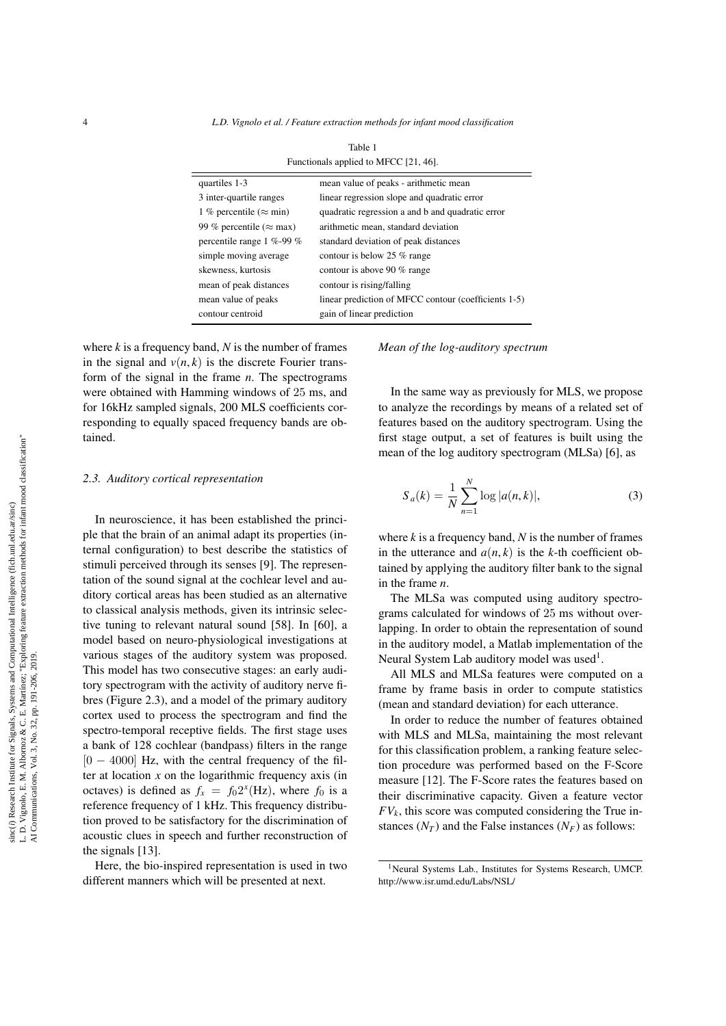| quartiles 1-3                    | mean value of peaks - arithmetic mean                |  |  |
|----------------------------------|------------------------------------------------------|--|--|
| 3 inter-quartile ranges          | linear regression slope and quadratic error          |  |  |
| 1 % percentile ( $\approx$ min)  | quadratic regression a and b and quadratic error     |  |  |
| 99 % percentile ( $\approx$ max) | arithmetic mean, standard deviation                  |  |  |
| percentile range 1 %-99 %        | standard deviation of peak distances                 |  |  |
| simple moving average            | contour is below 25 % range                          |  |  |
| skewness, kurtosis               | contour is above 90 % range                          |  |  |
| mean of peak distances           | contour is rising/falling                            |  |  |
| mean value of peaks              | linear prediction of MFCC contour (coefficients 1-5) |  |  |
| contour centroid                 | gain of linear prediction                            |  |  |

<span id="page-3-0"></span>Table 1 Functionals applied to MFCC [\[21,](#page-13-22) [46\]](#page-14-1).

where *k* is a frequency band, *N* is the number of frames in the signal and  $v(n, k)$  is the discrete Fourier transform of the signal in the frame *n*. The spectrograms were obtained with Hamming windows of 25 ms, and for 16kHz sampled signals, 200 MLS coefficients corresponding to equally spaced frequency bands are obtained.

 $\equiv$ 

## <span id="page-3-1"></span>*2.3. Auditory cortical representation*

In neuroscience, it has been established the principle that the brain of an animal adapt its properties (internal configuration) to best describe the statistics of stimuli perceived through its senses [\[9\]](#page-13-23). The representation of the sound signal at the cochlear level and auditory cortical areas has been studied as an alternative to classical analysis methods, given its intrinsic selective tuning to relevant natural sound [\[58\]](#page-14-19). In [\[60\]](#page-14-20), a model based on neuro-physiological investigations at various stages of the auditory system was proposed. This model has two consecutive stages: an early auditory spectrogram with the activity of auditory nerve fibres (Figure [2.3\)](#page-3-1), and a model of the primary auditory cortex used to process the spectrogram and find the spectro-temporal receptive fields. The first stage uses a bank of 128 cochlear (bandpass) filters in the range  $[0 - 4000]$  Hz, with the central frequency of the filter at location *x* on the logarithmic frequency axis (in octaves) is defined as  $f_x = f_0 2^x$ (Hz), where  $f_0$  is a reference frequency of 1 kHz. This frequency distribution proved to be satisfactory for the discrimination of acoustic clues in speech and further reconstruction of the signals [\[13\]](#page-13-24).

Here, the bio-inspired representation is used in two different manners which will be presented at next.

*Mean of the log-auditory spectrum*

In the same way as previously for MLS, we propose to analyze the recordings by means of a related set of features based on the auditory spectrogram. Using the first stage output, a set of features is built using the mean of the log auditory spectrogram (MLSa) [\[6\]](#page-13-21), as

$$
S_a(k) = \frac{1}{N} \sum_{n=1}^{N} \log |a(n,k)|,
$$
 (3)

where  $k$  is a frequency band,  $N$  is the number of frames in the utterance and  $a(n, k)$  is the *k*-th coefficient obtained by applying the auditory filter bank to the signal in the frame *n*.

The MLSa was computed using auditory spectrograms calculated for windows of 25 ms without overlapping. In order to obtain the representation of sound in the auditory model, a Matlab implementation of the Neural System Lab auditory model was used<sup>[1](#page-3-2)</sup>.

All MLS and MLSa features were computed on a frame by frame basis in order to compute statistics (mean and standard deviation) for each utterance.

In order to reduce the number of features obtained with MLS and MLSa, maintaining the most relevant for this classification problem, a ranking feature selection procedure was performed based on the F-Score measure [\[12\]](#page-13-25). The F-Score rates the features based on their discriminative capacity. Given a feature vector  $FV_k$ , this score was computed considering the True instances  $(N_T)$  and the False instances  $(N_F)$  as follows:

<span id="page-3-2"></span><sup>&</sup>lt;sup>1</sup>Neural Systems Lab., Institutes for Systems Research, UMCP. <http://www.isr.umd.edu/Labs/NSL/>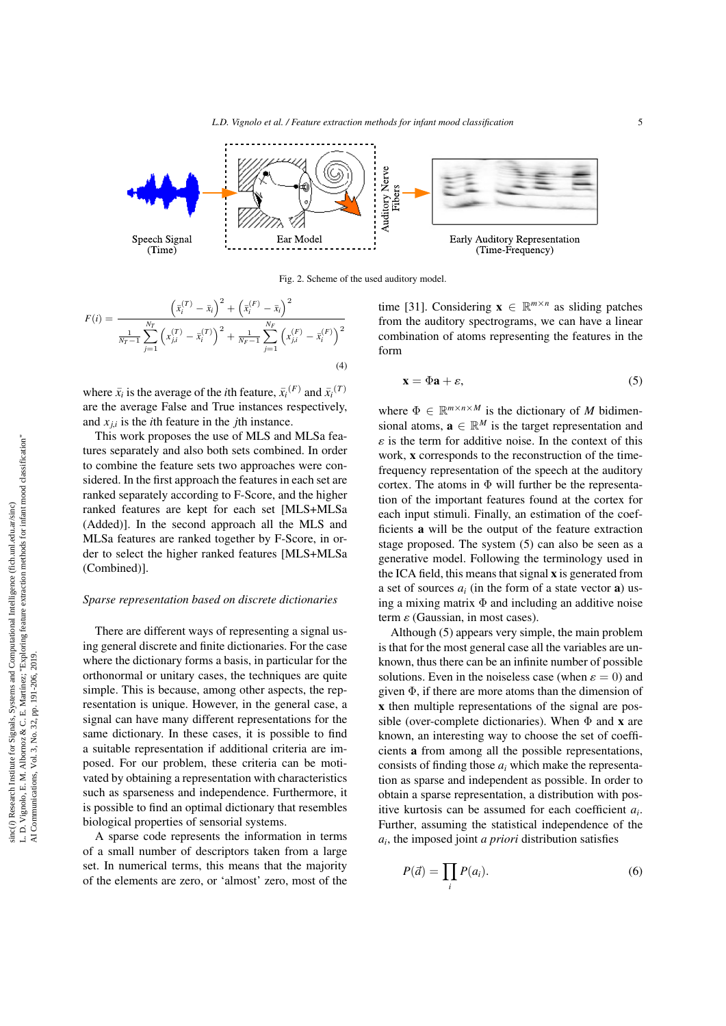



Fig. 2. Scheme of the used auditory model.

$$
F(i) = \frac{\left(\bar{x}_i^{(T)} - \bar{x}_i\right)^2 + \left(\bar{x}_i^{(F)} - \bar{x}_i\right)^2}{\frac{1}{N_T - 1} \sum_{j=1}^{N_T} \left(x_{j,i}^{(T)} - \bar{x}_i^{(T)}\right)^2 + \frac{1}{N_F - 1} \sum_{j=1}^{N_F} \left(x_{j,i}^{(F)} - \bar{x}_i^{(F)}\right)^2}
$$
\n(4)

where  $\bar{x}_i$  is the average of the *i*th feature,  $\bar{x}_i^{(F)}$  and  $\bar{x}_i^{(T)}$ are the average False and True instances respectively, and  $x_{j,i}$  is the *i*th feature in the *j*th instance.

This work proposes the use of MLS and MLSa features separately and also both sets combined. In order to combine the feature sets two approaches were considered. In the first approach the features in each set are ranked separately according to F-Score, and the higher ranked features are kept for each set [MLS+MLSa (Added)]. In the second approach all the MLS and MLSa features are ranked together by F-Score, in order to select the higher ranked features [MLS+MLSa (Combined)].

#### *Sparse representation based on discrete dictionaries*

There are different ways of representing a signal using general discrete and finite dictionaries. For the case where the dictionary forms a basis, in particular for the orthonormal or unitary cases, the techniques are quite simple. This is because, among other aspects, the representation is unique. However, in the general case, a signal can have many different representations for the same dictionary. In these cases, it is possible to find a suitable representation if additional criteria are imposed. For our problem, these criteria can be motivated by obtaining a representation with characteristics such as sparseness and independence. Furthermore, it is possible to find an optimal dictionary that resembles biological properties of sensorial systems.

A sparse code represents the information in terms of a small number of descriptors taken from a large set. In numerical terms, this means that the majority of the elements are zero, or 'almost' zero, most of the

time [\[31\]](#page-13-26). Considering  $\mathbf{x} \in \mathbb{R}^{m \times n}$  as sliding patches from the auditory spectrograms, we can have a linear combination of atoms representing the features in the form

<span id="page-4-0"></span>
$$
\mathbf{x} = \Phi \mathbf{a} + \varepsilon,\tag{5}
$$

where  $\Phi \in \mathbb{R}^{m \times n \times M}$  is the dictionary of *M* bidimensional atoms,  $\mathbf{a} \in \mathbb{R}^M$  is the target representation and  $\varepsilon$  is the term for additive noise. In the context of this work, x corresponds to the reconstruction of the timefrequency representation of the speech at the auditory cortex. The atoms in  $\Phi$  will further be the representation of the important features found at the cortex for each input stimuli. Finally, an estimation of the coefficients a will be the output of the feature extraction stage proposed. The system [\(5\)](#page-4-0) can also be seen as a generative model. Following the terminology used in the ICA field, this means that signal x is generated from a set of sources  $a_i$  (in the form of a state vector **a**) using a mixing matrix  $\Phi$  and including an additive noise term  $\varepsilon$  (Gaussian, in most cases).

Although [\(5\)](#page-4-0) appears very simple, the main problem is that for the most general case all the variables are unknown, thus there can be an infinite number of possible solutions. Even in the noiseless case (when  $\varepsilon = 0$ ) and given Φ, if there are more atoms than the dimension of x then multiple representations of the signal are possible (over-complete dictionaries). When  $\Phi$  and **x** are known, an interesting way to choose the set of coefficients a from among all the possible representations, consists of finding those *a<sup>i</sup>* which make the representation as sparse and independent as possible. In order to obtain a sparse representation, a distribution with positive kurtosis can be assumed for each coefficient *a<sup>i</sup>* . Further, assuming the statistical independence of the *ai* , the imposed joint *a priori* distribution satisfies

$$
P(\vec{a}) = \prod_{i} P(a_i). \tag{6}
$$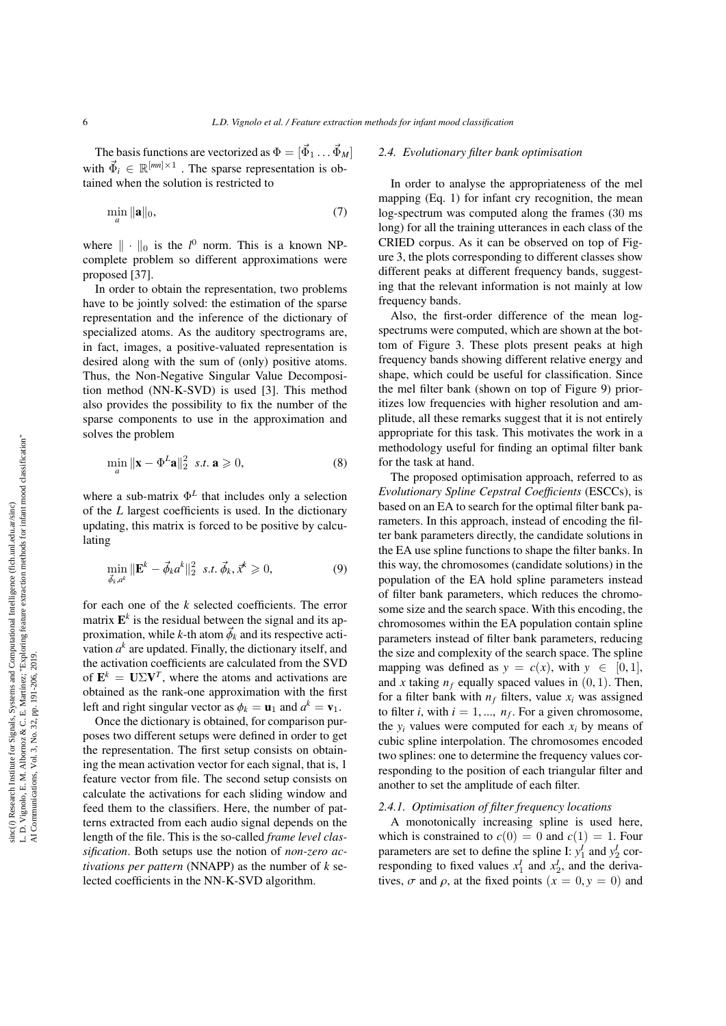The basis functions are vectorized as  $\Phi = [\Phi_1 \dots \Phi_M]$ <br>the  $\vec{\Phi} \in \mathbb{R}^{[mn] \times 1}$ . The sparse representation is ab with  $\vec{\Phi}_i \in \mathbb{R}^{[mn] \times 1}$ . The sparse representation is obtained when the solution is restricted to

$$
\min_{a} \|\mathbf{a}\|_{0},\tag{7}
$$

where  $\|\cdot\|_0$  is the  $l^0$  norm. This is a known NPcomplete problem so different approximations were proposed [\[37\]](#page-14-21).

In order to obtain the representation, two problems have to be jointly solved: the estimation of the sparse representation and the inference of the dictionary of specialized atoms. As the auditory spectrograms are, in fact, images, a positive-valuated representation is desired along with the sum of (only) positive atoms. Thus, the Non-Negative Singular Value Decomposition method (NN-K-SVD) is used [\[3\]](#page-13-27). This method also provides the possibility to fix the number of the sparse components to use in the approximation and solves the problem

$$
\min_{a} \|\mathbf{x} - \Phi^L \mathbf{a}\|_2^2 \ \ s.t. \ \mathbf{a} \geqslant 0,
$$
\n(8)

where a sub-matrix  $\Phi^L$  that includes only a selection of the *L* largest coefficients is used. In the dictionary updating, this matrix is forced to be positive by calculating

$$
\min_{\vec{\phi}_k, a^k} \|\mathbf{E}^k - \vec{\phi}_k a^k\|_2^2 \ \ s.t. \ \vec{\phi}_k, \ \vec{x}^k \ge 0,
$$
\n<sup>(9)</sup>

for each one of the *k* selected coefficients. The error matrix  $\mathbf{E}^{k}$  is the residual between the signal and its approximation, while *k*-th atom  $\vec{\phi}_k$  and its respective activation  $a^k$  are updated. Finally, the dictionary itself, and the activation coefficients are calculated from the SVD of  $\mathbf{E}^k = \mathbf{U} \Sigma \mathbf{V}^T$ , where the atoms and activations are obtained as the rank-one approximation with the first left and right singular vector as  $\phi_k = \mathbf{u}_1$  and  $a^k = \mathbf{v}_1$ .<br>Once the dictionary is obtained, for comparison put

Once the dictionary is obtained, for comparison purposes two different setups were defined in order to get the representation. The first setup consists on obtaining the mean activation vector for each signal, that is, 1 feature vector from file. The second setup consists on calculate the activations for each sliding window and feed them to the classifiers. Here, the number of patterns extracted from each audio signal depends on the length of the file. This is the so-called *frame level classification*. Both setups use the notion of *non-zero activations per pattern* (NNAPP) as the number of *k* selected coefficients in the NN-K-SVD algorithm.

# *2.4. Evolutionary filter bank optimisation*

In order to analyse the appropriateness of the mel mapping (Eq. [1\)](#page-2-1) for infant cry recognition, the mean log-spectrum was computed along the frames (30 ms long) for all the training utterances in each class of the CRIED corpus. As it can be observed on top of Figure [3,](#page-6-0) the plots corresponding to different classes show different peaks at different frequency bands, suggesting that the relevant information is not mainly at low frequency bands.

Also, the first-order difference of the mean logspectrums were computed, which are shown at the bottom of Figure [3.](#page-6-0) These plots present peaks at high frequency bands showing different relative energy and shape, which could be useful for classification. Since the mel filter bank (shown on top of Figure [9\)](#page-12-1) prioritizes low frequencies with higher resolution and amplitude, all these remarks suggest that it is not entirely appropriate for this task. This motivates the work in a methodology useful for finding an optimal filter bank for the task at hand.

The proposed optimisation approach, referred to as *Evolutionary Spline Cepstral Coefficients* (ESCCs), is based on an EA to search for the optimal filter bank parameters. In this approach, instead of encoding the filter bank parameters directly, the candidate solutions in the EA use spline functions to shape the filter banks. In this way, the chromosomes (candidate solutions) in the population of the EA hold spline parameters instead of filter bank parameters, which reduces the chromosome size and the search space. With this encoding, the chromosomes within the EA population contain spline parameters instead of filter bank parameters, reducing the size and complexity of the search space. The spline mapping was defined as  $y = c(x)$ , with  $y \in [0, 1]$ , and *x* taking  $n_f$  equally spaced values in  $(0, 1)$ . Then, for a filter bank with  $n_f$  filters, value  $x_i$  was assigned to filter *i*, with  $i = 1, ..., n_f$ . For a given chromosome, the *y*, values were computed for each *y*, by means of the  $y_i$  values were computed for each  $x_i$  by means of cubic spline interpolation. The chromosomes encoded two splines: one to determine the frequency values corresponding to the position of each triangular filter and another to set the amplitude of each filter.

## *2.4.1. Optimisation of filter frequency locations*

A monotonically increasing spline is used here, which is constrained to  $c(0) = 0$  and  $c(1) = 1$ . Four parameters are set to define the spline I:  $y_1^I$  and  $y_2^I$  corresponding to fixed values  $x_1^I$  and  $x_2^I$ , and the derivatives,  $\sigma$  and  $\rho$ , at the fixed points  $(x = 0, y = 0)$  and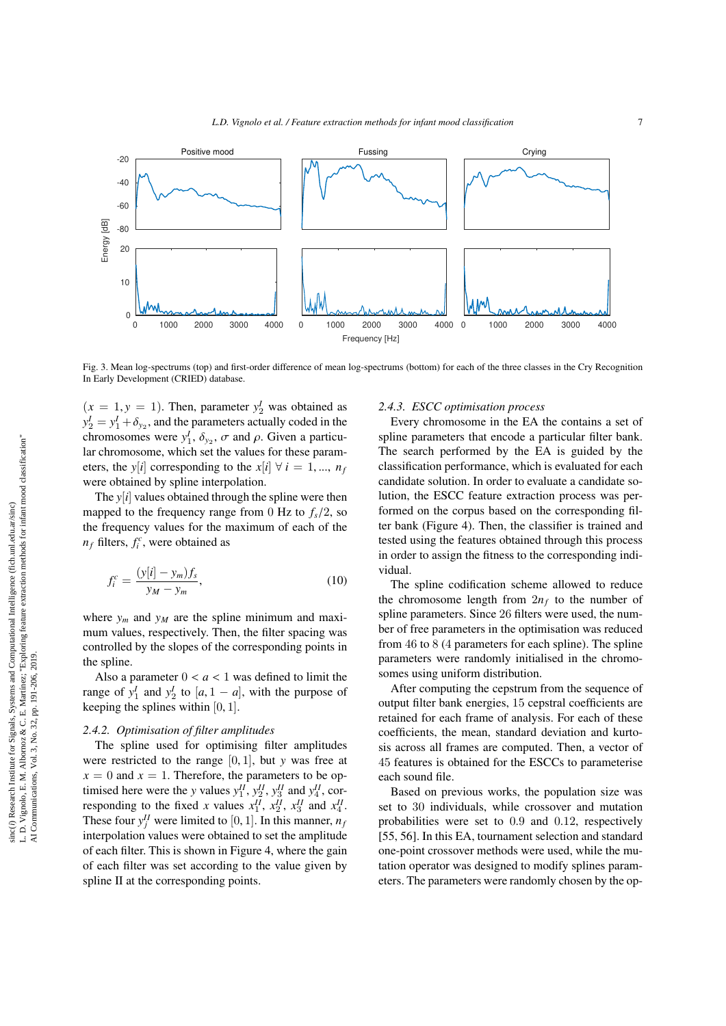

<span id="page-6-0"></span>Fig. 3. Mean log-spectrums (top) and first-order difference of mean log-spectrums (bottom) for each of the three classes in the Cry Recognition In Early Development (CRIED) database.

 $(x = 1, y = 1)$ . Then, parameter  $y_2^I$  was obtained as  $y_2^I = y_1^I + \delta_{y_2}$ , and the parameters actually coded in the chromosomes were  $y^I \delta$ ,  $\sigma$  and  $\delta$ . Given a particular chromosomes were  $y_1^I$ ,  $\delta_{y_2}$ ,  $\sigma$  and  $\rho$ . Given a particu-<br>lar chromosome, which set the values for these paramlar chromosome, which set the values for these parameters, the *y*[*i*] corresponding to the *x*[*i*]  $\forall$  *i* = 1, ..., *n*<sub>*f*</sub> were obtained by spline interpolation.

The *y*[*i*] values obtained through the spline were then mapped to the frequency range from 0 Hz to  $f_s/2$ , so the frequency values for the maximum of each of the  $n_f$  filters,  $f_i^c$ , were obtained as

$$
f_i^c = \frac{(y[i] - y_m)f_s}{y_M - y_m},
$$
\n(10)

where  $y_m$  and  $y_M$  are the spline minimum and maximum values, respectively. Then, the filter spacing was controlled by the slopes of the corresponding points in the spline.

Also a parameter  $0 < a < 1$  was defined to limit the range of  $y_1^I$  and  $y_2^I$  to  $[a, 1 - a]$ , with the purpose of keeping the splines within [0, 1] keeping the splines within  $[0, 1]$ .

## *2.4.2. Optimisation of filter amplitudes*

The spline used for optimising filter amplitudes were restricted to the range [0, 1], but *<sup>y</sup>* was free at  $x = 0$  and  $x = 1$ . Therefore, the parameters to be optimised here were the *y* values  $y_1^{\prime I}$ ,  $y_2^{\prime I}$ ,  $y_3^{\prime I}$  and  $y_4^{\prime I}$ , corresponding to the fixed *x* values  $x_1^H$ ,  $x_2^H$ ,  $x_3^H$  and  $x_4^H$ . These four  $y_j^H$  were limited to [0, 1]. In this manner,  $n_j$  interpolation values were obtained to set the amplitude interpolation values were obtained to set the amplitude of each filter. This is shown in Figure [4,](#page-7-0) where the gain of each filter was set according to the value given by spline II at the corresponding points.

# <span id="page-6-1"></span>*2.4.3. ESCC optimisation process*

Every chromosome in the EA the contains a set of spline parameters that encode a particular filter bank. The search performed by the EA is guided by the classification performance, which is evaluated for each candidate solution. In order to evaluate a candidate solution, the ESCC feature extraction process was performed on the corpus based on the corresponding filter bank (Figure [4\)](#page-7-0). Then, the classifier is trained and tested using the features obtained through this process in order to assign the fitness to the corresponding individual.

The spline codification scheme allowed to reduce the chromosome length from  $2n_f$  to the number of spline parameters. Since 26 filters were used, the number of free parameters in the optimisation was reduced from 46 to 8 (4 parameters for each spline). The spline parameters were randomly initialised in the chromosomes using uniform distribution.

After computing the cepstrum from the sequence of output filter bank energies, 15 cepstral coefficients are retained for each frame of analysis. For each of these coefficients, the mean, standard deviation and kurtosis across all frames are computed. Then, a vector of 45 features is obtained for the ESCCs to parameterise each sound file.

Based on previous works, the population size was set to 30 individuals, while crossover and mutation probabilities were set to <sup>0</sup>.<sup>9</sup> and <sup>0</sup>.12, respectively [\[55,](#page-14-16) [56\]](#page-14-17). In this EA, tournament selection and standard one-point crossover methods were used, while the mutation operator was designed to modify splines parameters. The parameters were randomly chosen by the op-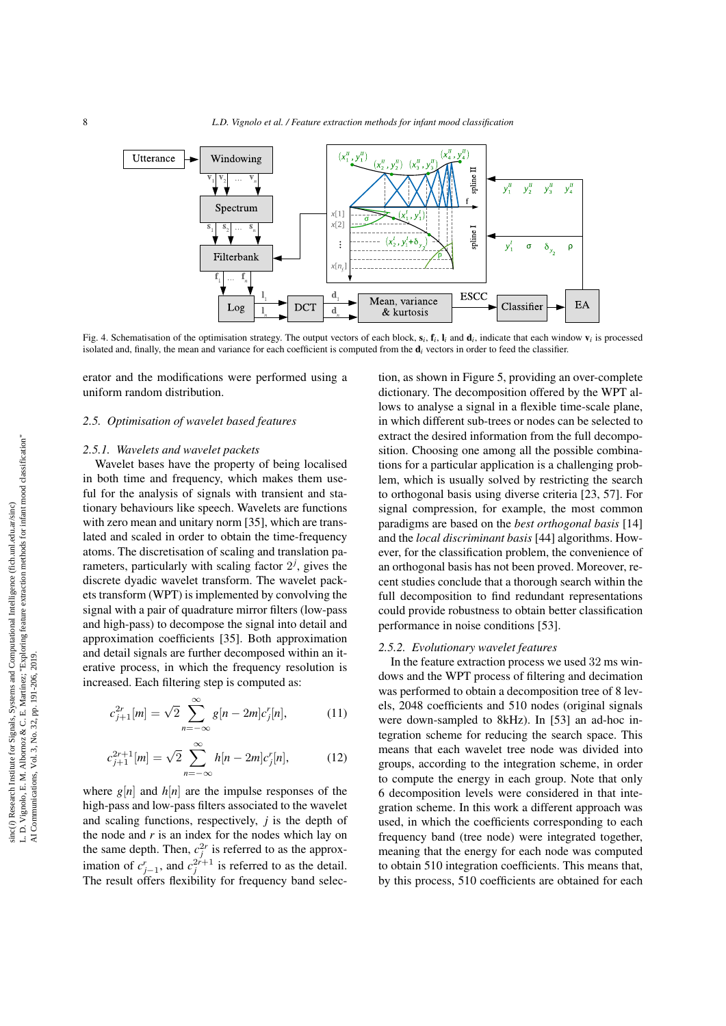

<span id="page-7-0"></span>Fig. 4. Schematisation of the optimisation strategy. The output vectors of each block,  $s_i$ ,  $f_i$ ,  $l_i$  and  $d_i$ , indicate that each window  $v_i$  is processed isolated and, finally, the mean and variance for each coefficient is computed from the d*<sup>i</sup>* vectors in order to feed the classifier.

erator and the modifications were performed using a uniform random distribution.

# *2.5. Optimisation of wavelet based features*

# *2.5.1. Wavelets and wavelet packets*

Wavelet bases have the property of being localised in both time and frequency, which makes them useful for the analysis of signals with transient and stationary behaviours like speech. Wavelets are functions with zero mean and unitary norm [\[35\]](#page-13-28), which are translated and scaled in order to obtain the time-frequency atoms. The discretisation of scaling and translation parameters, particularly with scaling factor  $2<sup>j</sup>$ , gives the discrete dyadic wavelet transform. The wavelet packets transform (WPT) is implemented by convolving the signal with a pair of quadrature mirror filters (low-pass and high-pass) to decompose the signal into detail and approximation coefficients [\[35\]](#page-13-28). Both approximation and detail signals are further decomposed within an iterative process, in which the frequency resolution is increased. Each filtering step is computed as:

$$
c_{j+1}^{2r}[m] = \sqrt{2} \sum_{n=-\infty}^{\infty} g[n-2m]c_j'[n], \tag{11}
$$

$$
c_{j+1}^{2r+1}[m] = \sqrt{2} \sum_{n=-\infty}^{\infty} h[n-2m]c_j[n],
$$
 (12)

where  $g[n]$  and  $h[n]$  are the impulse responses of the high-pass and low-pass filters associated to the wavelet and scaling functions, respectively, *j* is the depth of the node and *r* is an index for the nodes which lay on the same depth. Then,  $c_j^{2r}$  is referred to as the approximation of  $c_{j-1}^r$ , and  $c_j^{2r+1}$  is referred to as the detail. The result offers flexibility for frequency band selection, as shown in Figure [5,](#page-8-0) providing an over-complete dictionary. The decomposition offered by the WPT allows to analyse a signal in a flexible time-scale plane, in which different sub-trees or nodes can be selected to extract the desired information from the full decomposition. Choosing one among all the possible combinations for a particular application is a challenging problem, which is usually solved by restricting the search to orthogonal basis using diverse criteria [\[23,](#page-13-29) [57\]](#page-14-22). For signal compression, for example, the most common paradigms are based on the *best orthogonal basis* [\[14\]](#page-13-30) and the *local discriminant basis* [\[44\]](#page-14-23) algorithms. However, for the classification problem, the convenience of an orthogonal basis has not been proved. Moreover, recent studies conclude that a thorough search within the full decomposition to find redundant representations could provide robustness to obtain better classification performance in noise conditions [\[53\]](#page-14-15).

# <span id="page-7-1"></span>*2.5.2. Evolutionary wavelet features*

In the feature extraction process we used 32 ms windows and the WPT process of filtering and decimation was performed to obtain a decomposition tree of 8 levels, 2048 coefficients and 510 nodes (original signals were down-sampled to 8kHz). In [\[53\]](#page-14-15) an ad-hoc integration scheme for reducing the search space. This means that each wavelet tree node was divided into groups, according to the integration scheme, in order to compute the energy in each group. Note that only 6 decomposition levels were considered in that integration scheme. In this work a different approach was used, in which the coefficients corresponding to each frequency band (tree node) were integrated together, meaning that the energy for each node was computed to obtain 510 integration coefficients. This means that, by this process, 510 coefficients are obtained for each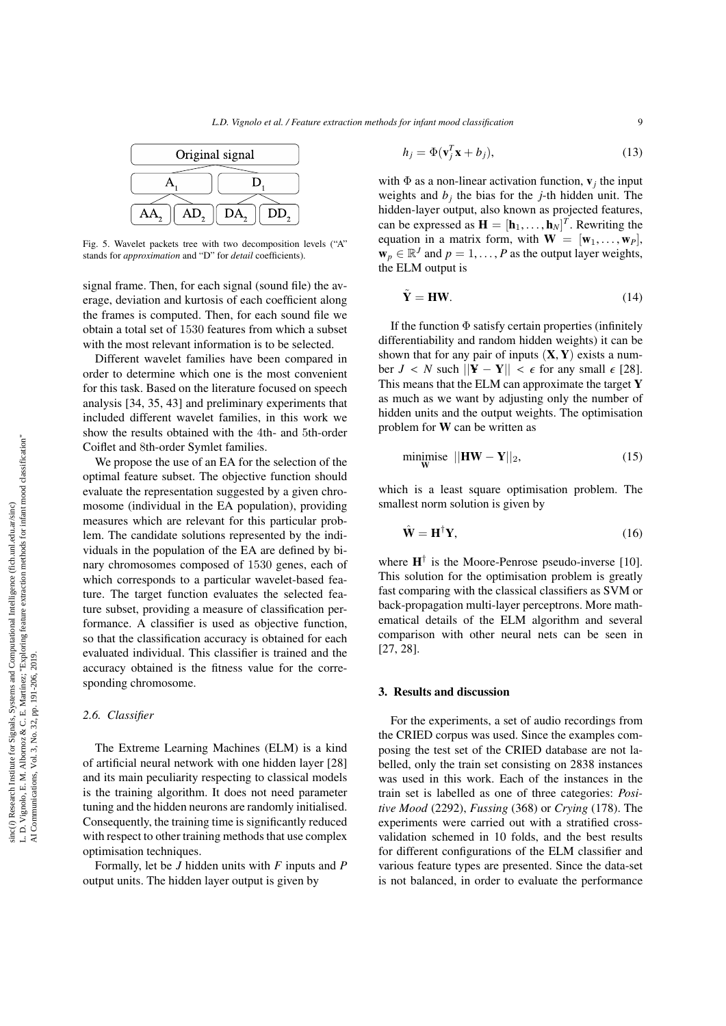



<span id="page-8-0"></span>Fig. 5. Wavelet packets tree with two decomposition levels ("A" stands for *approximation* and "D" for *detail* coefficients).

signal frame. Then, for each signal (sound file) the average, deviation and kurtosis of each coefficient along the frames is computed. Then, for each sound file we obtain a total set of 1530 features from which a subset with the most relevant information is to be selected.

Different wavelet families have been compared in order to determine which one is the most convenient for this task. Based on the literature focused on speech analysis [\[34,](#page-13-31) [35,](#page-13-28) [43\]](#page-14-24) and preliminary experiments that included different wavelet families, in this work we show the results obtained with the 4th- and 5th-order Coiflet and 8th-order Symlet families.

We propose the use of an EA for the selection of the optimal feature subset. The objective function should evaluate the representation suggested by a given chromosome (individual in the EA population), providing measures which are relevant for this particular problem. The candidate solutions represented by the individuals in the population of the EA are defined by binary chromosomes composed of 1530 genes, each of which corresponds to a particular wavelet-based feature. The target function evaluates the selected feature subset, providing a measure of classification performance. A classifier is used as objective function, so that the classification accuracy is obtained for each evaluated individual. This classifier is trained and the accuracy obtained is the fitness value for the corresponding chromosome.

# *2.6. Classifier*

The Extreme Learning Machines (ELM) is a kind of artificial neural network with one hidden layer [\[28\]](#page-13-32) and its main peculiarity respecting to classical models is the training algorithm. It does not need parameter tuning and the hidden neurons are randomly initialised. Consequently, the training time is significantly reduced with respect to other training methods that use complex optimisation techniques.

Formally, let be *J* hidden units with *F* inputs and *P* output units. The hidden layer output is given by

$$
h_j = \Phi(\mathbf{v}_j^T \mathbf{x} + b_j), \tag{13}
$$

with  $\Phi$  as a non-linear activation function,  $v_j$  the input weights and  $b_j$  the bias for the *j*-th hidden unit. The hidden-layer output, also known as projected features, can be expressed as  $\mathbf{H} = [\mathbf{h}_1, \dots, \mathbf{h}_N]^T$ . Rewriting the equation in a matrix form with  $\mathbf{W} = [\mathbf{w}_1, \dots, \mathbf{w}_N]$ equation in a matrix form, with  $\mathbf{W} = [\mathbf{w}_1, \dots, \mathbf{w}_P],$  $\mathbf{w}_p \in \mathbb{R}^J$  and  $p = 1, \dots, P$  as the output layer weights, the EI M output is the ELM output is

$$
\tilde{\mathbf{Y}} = \mathbf{H}\mathbf{W}.\tag{14}
$$

If the function  $\Phi$  satisfy certain properties (infinitely differentiability and random hidden weights) it can be shown that for any pair of inputs  $(X, Y)$  exists a number  $J < N$  such  $||\mathbf{Y} - \mathbf{Y}|| < \epsilon$  for any small  $\epsilon$  [\[28\]](#page-13-32). This means that the ELM can approximate the target  $Y$ as much as we want by adjusting only the number of hidden units and the output weights. The optimisation problem for W can be written as

$$
\underset{\mathbf{W}}{\text{minimise}} \ \|\mathbf{H}\mathbf{W} - \mathbf{Y}\|_2,\tag{15}
$$

which is a least square optimisation problem. The smallest norm solution is given by

$$
\hat{\mathbf{W}} = \mathbf{H}^{\dagger} \mathbf{Y},\tag{16}
$$

where  $H^{\dagger}$  is the Moore-Penrose pseudo-inverse [\[10\]](#page-13-33). This solution for the optimisation problem is greatly fast comparing with the classical classifiers as SVM or back-propagation multi-layer perceptrons. More mathematical details of the ELM algorithm and several comparison with other neural nets can be seen in [\[27,](#page-13-34) [28\]](#page-13-32).

## 3. Results and discussion

For the experiments, a set of audio recordings from the CRIED corpus was used. Since the examples composing the test set of the CRIED database are not labelled, only the train set consisting on 2838 instances was used in this work. Each of the instances in the train set is labelled as one of three categories: *Positive Mood* (2292), *Fussing* (368) or *Crying* (178). The experiments were carried out with a stratified crossvalidation schemed in 10 folds, and the best results for different configurations of the ELM classifier and various feature types are presented. Since the data-set is not balanced, in order to evaluate the performance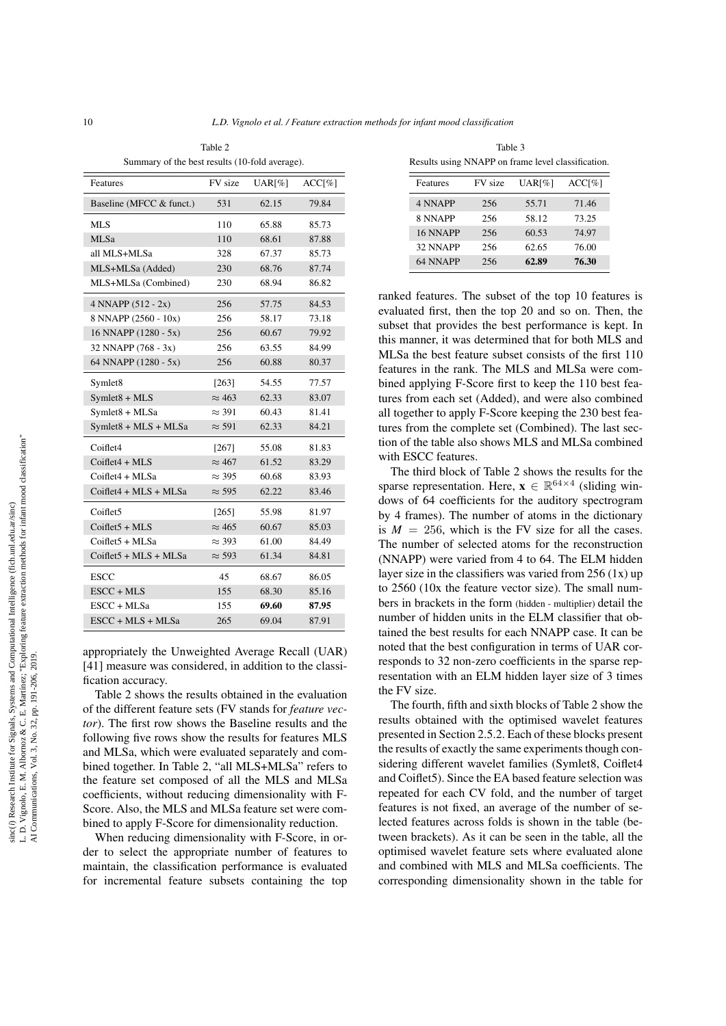<span id="page-9-0"></span>Table 2 Summary of the best results (10-fold average).

| Features                                 | FV size       | $UAR[\%]$ | ACC[%] |
|------------------------------------------|---------------|-----------|--------|
| Baseline (MFCC & funct.)                 | 531           | 62.15     | 79.84  |
| <b>MLS</b>                               | 110           | 65.88     | 85.73  |
| MLSa                                     | 110           | 68.61     | 87.88  |
| all MLS+MLSa                             | 328           | 67.37     | 85.73  |
| MLS+MLSa (Added)                         | 230           | 68.76     | 87.74  |
| MLS+MLSa (Combined)                      | 230           | 68.94     | 86.82  |
| 4 NNAPP (512 - 2x)                       | 256           | 57.75     | 84.53  |
| 8 NNAPP (2560 - 10x)                     | 256           | 58.17     | 73.18  |
| 16 NNAPP (1280 - 5x)                     | 256           | 60.67     | 79.92  |
| 32 NNAPP (768 - 3x)                      | 256           | 63.55     | 84.99  |
| 64 NNAPP (1280 - 5x)                     | 256           | 60.88     | 80.37  |
| Symlet8                                  | [263]         | 54.55     | 77.57  |
| $Synlet8 + MLS$                          | $\approx 463$ | 62.33     | 83.07  |
| $Symlet8 + MLSa$                         | $\approx$ 391 | 60.43     | 81.41  |
| $Synlet8 + MLS + MLSa$                   | $\approx$ 591 | 62.33     | 84.21  |
| Coiflet4                                 | [267]         | 55.08     | 81.83  |
| $Coiflet4 + MLS$                         | $\approx$ 467 | 61.52     | 83.29  |
| Coiflet4 + MLSa                          | $\approx$ 395 | 60.68     | 83.93  |
| $Coiflet4 + MLS + MLSa$                  | $\approx$ 595 | 62.22     | 83.46  |
| Coiflet <sub>5</sub>                     | [265]         | 55.98     | 81.97  |
| $Coiflet5 + MLS$                         | $\approx 465$ | 60.67     | 85.03  |
| $Coiflet5 + MLSa$                        | $\approx$ 393 | 61.00     | 84.49  |
| $Coiflet5 + MLS + MLSa$                  | $\approx$ 593 | 61.34     | 84.81  |
| <b>ESCC</b>                              | 45            | 68.67     | 86.05  |
| $\text{ESCC} + \text{MLS}$               | 155           | 68.30     | 85.16  |
| $\text{ESCC} + \text{MLSa}$              | 155           | 69.60     | 87.95  |
| $\text{ESCC} + \text{MLS} + \text{MLSa}$ | 265           | 69.04     | 87.91  |

appropriately the Unweighted Average Recall (UAR) [\[41\]](#page-14-25) measure was considered, in addition to the classification accuracy.

Table [2](#page-9-0) shows the results obtained in the evaluation of the different feature sets (FV stands for *feature vector*). The first row shows the Baseline results and the following five rows show the results for features MLS and MLSa, which were evaluated separately and combined together. In Table [2,](#page-9-0) "all MLS+MLSa" refers to the feature set composed of all the MLS and MLSa coefficients, without reducing dimensionality with F-Score. Also, the MLS and MLSa feature set were combined to apply F-Score for dimensionality reduction.

When reducing dimensionality with F-Score, in order to select the appropriate number of features to maintain, the classification performance is evaluated for incremental feature subsets containing the top

<span id="page-9-1"></span>Table 3 Results using NNAPP on frame level classification.

| Features | FV size | $UAR[\%]$ | ACC[%] |
|----------|---------|-----------|--------|
| 4 NNAPP  | 256     | 55.71     | 71.46  |
| 8 NNAPP  | 256     | 58.12     | 73.25  |
| 16 NNAPP | 256     | 60.53     | 74.97  |
| 32 NNAPP | 256     | 62.65     | 76.00  |
| 64 NNAPP | 256     | 62.89     | 76.30  |

ranked features. The subset of the top 10 features is evaluated first, then the top 20 and so on. Then, the subset that provides the best performance is kept. In this manner, it was determined that for both MLS and MLSa the best feature subset consists of the first 110 features in the rank. The MLS and MLSa were combined applying F-Score first to keep the 110 best features from each set (Added), and were also combined all together to apply F-Score keeping the 230 best features from the complete set (Combined). The last section of the table also shows MLS and MLSa combined with ESCC features.

The third block of Table [2](#page-9-0) shows the results for the sparse representation. Here,  $\mathbf{x} \in \mathbb{R}^{64 \times 4}$  (sliding windows of 64 coefficients for the auditory spectrogram by 4 frames). The number of atoms in the dictionary is  $M = 256$ , which is the FV size for all the cases. The number of selected atoms for the reconstruction (NNAPP) were varied from 4 to 64. The ELM hidden layer size in the classifiers was varied from  $256$  (1x) up to 2560 (10x the feature vector size). The small numbers in brackets in the form (hidden - multiplier) detail the number of hidden units in the ELM classifier that obtained the best results for each NNAPP case. It can be noted that the best configuration in terms of UAR corresponds to 32 non-zero coefficients in the sparse representation with an ELM hidden layer size of 3 times the FV size.

The fourth, fifth and sixth blocks of Table [2](#page-9-0) show the results obtained with the optimised wavelet features presented in Section [2.5.2.](#page-7-1) Each of these blocks present the results of exactly the same experiments though considering different wavelet families (Symlet8, Coiflet4 and Coiflet5). Since the EA based feature selection was repeated for each CV fold, and the number of target features is not fixed, an average of the number of selected features across folds is shown in the table (between brackets). As it can be seen in the table, all the optimised wavelet feature sets where evaluated alone and combined with MLS and MLSa coefficients. The corresponding dimensionality shown in the table for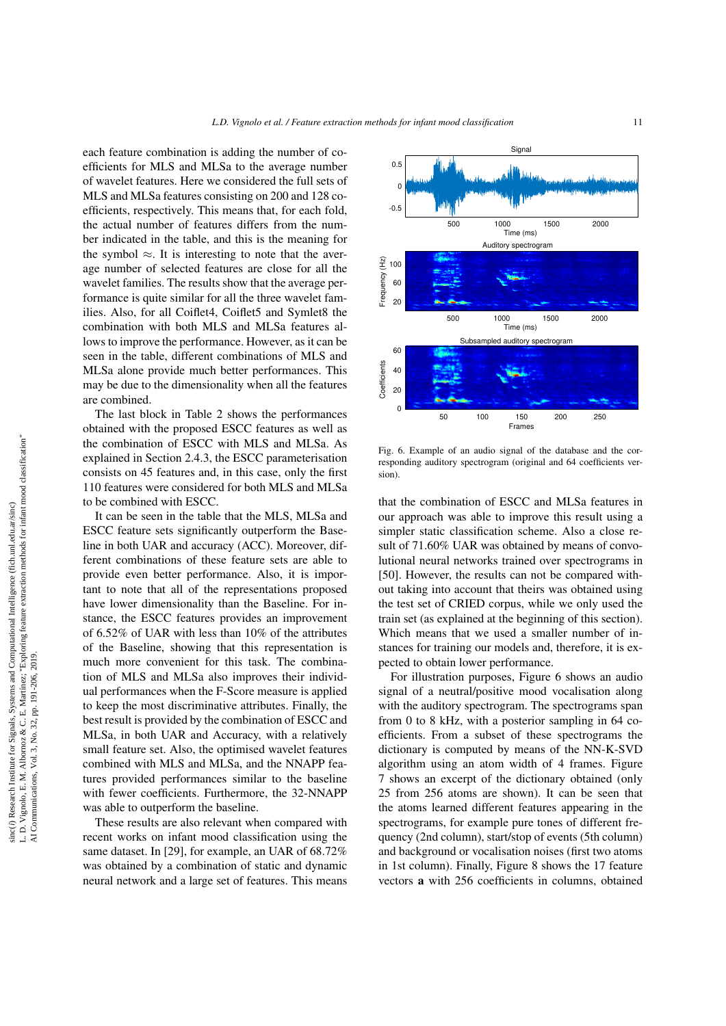each feature combination is adding the number of coefficients for MLS and MLSa to the average number of wavelet features. Here we considered the full sets of MLS and MLSa features consisting on 200 and 128 coefficients, respectively. This means that, for each fold, the actual number of features differs from the number indicated in the table, and this is the meaning for the symbol  $\approx$ . It is interesting to note that the average number of selected features are close for all the wavelet families. The results show that the average performance is quite similar for all the three wavelet families. Also, for all Coiflet4, Coiflet5 and Symlet8 the combination with both MLS and MLSa features allows to improve the performance. However, as it can be seen in the table, different combinations of MLS and MLSa alone provide much better performances. This may be due to the dimensionality when all the features are combined.

The last block in Table [2](#page-9-0) shows the performances obtained with the proposed ESCC features as well as the combination of ESCC with MLS and MLSa. As explained in Section [2.4.3,](#page-6-1) the ESCC parameterisation consists on 45 features and, in this case, only the first 110 features were considered for both MLS and MLSa to be combined with ESCC.

It can be seen in the table that the MLS, MLSa and ESCC feature sets significantly outperform the Baseline in both UAR and accuracy (ACC). Moreover, different combinations of these feature sets are able to provide even better performance. Also, it is important to note that all of the representations proposed have lower dimensionality than the Baseline. For instance, the ESCC features provides an improvement of 6.52% of UAR with less than 10% of the attributes of the Baseline, showing that this representation is much more convenient for this task. The combination of MLS and MLSa also improves their individual performances when the F-Score measure is applied to keep the most discriminative attributes. Finally, the best result is provided by the combination of ESCC and MLSa, in both UAR and Accuracy, with a relatively small feature set. Also, the optimised wavelet features combined with MLS and MLSa, and the NNAPP features provided performances similar to the baseline with fewer coefficients. Furthermore, the 32-NNAPP was able to outperform the baseline.

These results are also relevant when compared with recent works on infant mood classification using the same dataset. In [\[29\]](#page-13-4), for example, an UAR of 68.72% was obtained by a combination of static and dynamic neural network and a large set of features. This means



<span id="page-10-0"></span>Fig. 6. Example of an audio signal of the database and the corresponding auditory spectrogram (original and 64 coefficients version).

that the combination of ESCC and MLSa features in our approach was able to improve this result using a simpler static classification scheme. Also a close result of 71.60% UAR was obtained by means of convolutional neural networks trained over spectrograms in [\[50\]](#page-14-2). However, the results can not be compared without taking into account that theirs was obtained using the test set of CRIED corpus, while we only used the train set (as explained at the beginning of this section). Which means that we used a smaller number of instances for training our models and, therefore, it is expected to obtain lower performance.

For illustration purposes, Figure [6](#page-10-0) shows an audio signal of a neutral/positive mood vocalisation along with the auditory spectrogram. The spectrograms span from 0 to 8 kHz, with a posterior sampling in 64 coefficients. From a subset of these spectrograms the dictionary is computed by means of the NN-K-SVD algorithm using an atom width of 4 frames. Figure [7](#page-11-0) shows an excerpt of the dictionary obtained (only 25 from 256 atoms are shown). It can be seen that the atoms learned different features appearing in the spectrograms, for example pure tones of different frequency (2nd column), start/stop of events (5th column) and background or vocalisation noises (first two atoms in 1st column). Finally, Figure [8](#page-11-1) shows the 17 feature vectors a with 256 coefficients in columns, obtained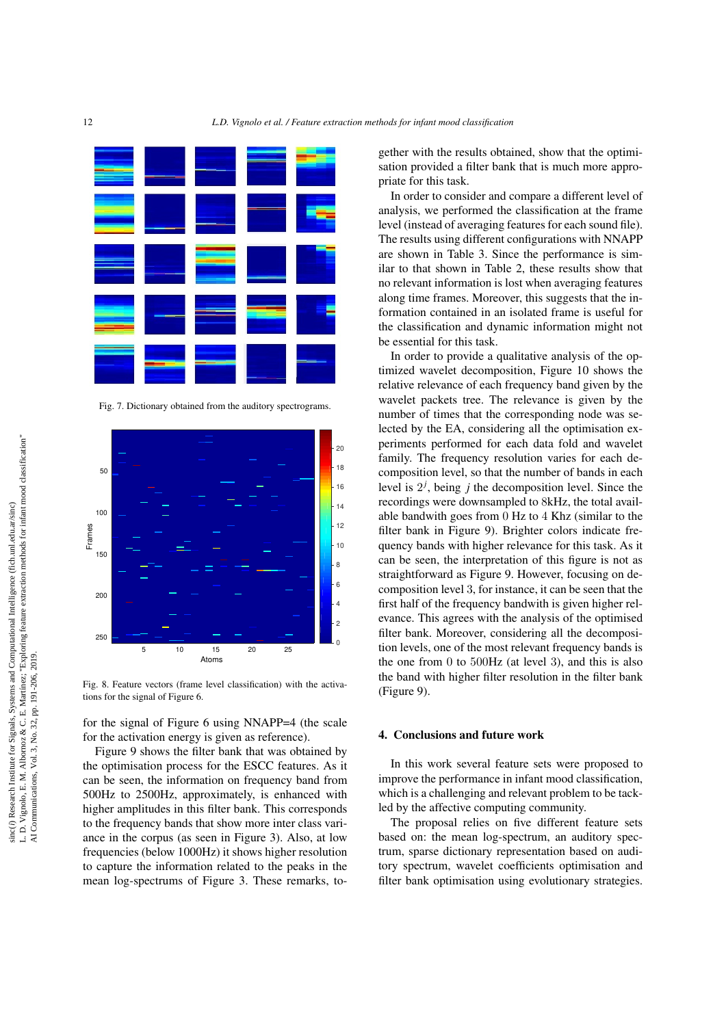

<span id="page-11-0"></span>Fig. 7. Dictionary obtained from the auditory spectrograms.



<span id="page-11-1"></span>Fig. 8. Feature vectors (frame level classification) with the activations for the signal of Figure [6.](#page-10-0)

for the signal of Figure [6](#page-10-0) using NNAPP=4 (the scale for the activation energy is given as reference).

Figure [9](#page-12-1) shows the filter bank that was obtained by the optimisation process for the ESCC features. As it can be seen, the information on frequency band from 500Hz to 2500Hz, approximately, is enhanced with higher amplitudes in this filter bank. This corresponds to the frequency bands that show more inter class variance in the corpus (as seen in Figure [3\)](#page-6-0). Also, at low frequencies (below 1000Hz) it shows higher resolution to capture the information related to the peaks in the mean log-spectrums of Figure [3.](#page-6-0) These remarks, together with the results obtained, show that the optimisation provided a filter bank that is much more appropriate for this task.

In order to consider and compare a different level of analysis, we performed the classification at the frame level (instead of averaging features for each sound file). The results using different configurations with NNAPP are shown in Table [3.](#page-9-1) Since the performance is similar to that shown in Table [2,](#page-9-0) these results show that no relevant information is lost when averaging features along time frames. Moreover, this suggests that the information contained in an isolated frame is useful for the classification and dynamic information might not be essential for this task.

In order to provide a qualitative analysis of the optimized wavelet decomposition, Figure [10](#page-12-2) shows the relative relevance of each frequency band given by the wavelet packets tree. The relevance is given by the number of times that the corresponding node was selected by the EA, considering all the optimisation experiments performed for each data fold and wavelet family. The frequency resolution varies for each decomposition level, so that the number of bands in each level is  $2<sup>j</sup>$ , being *j* the decomposition level. Since the recordings were downsampled to 8kHz, the total available bandwith goes from 0 Hz to 4 Khz (similar to the filter bank in Figure [9\)](#page-12-1). Brighter colors indicate frequency bands with higher relevance for this task. As it can be seen, the interpretation of this figure is not as straightforward as Figure [9.](#page-12-1) However, focusing on decomposition level 3, for instance, it can be seen that the first half of the frequency bandwith is given higher relevance. This agrees with the analysis of the optimised filter bank. Moreover, considering all the decomposition levels, one of the most relevant frequency bands is the one from 0 to 500Hz (at level 3), and this is also the band with higher filter resolution in the filter bank (Figure [9\)](#page-12-1).

# 4. Conclusions and future work

In this work several feature sets were proposed to improve the performance in infant mood classification, which is a challenging and relevant problem to be tackled by the affective computing community.

The proposal relies on five different feature sets based on: the mean log-spectrum, an auditory spectrum, sparse dictionary representation based on auditory spectrum, wavelet coefficients optimisation and filter bank optimisation using evolutionary strategies.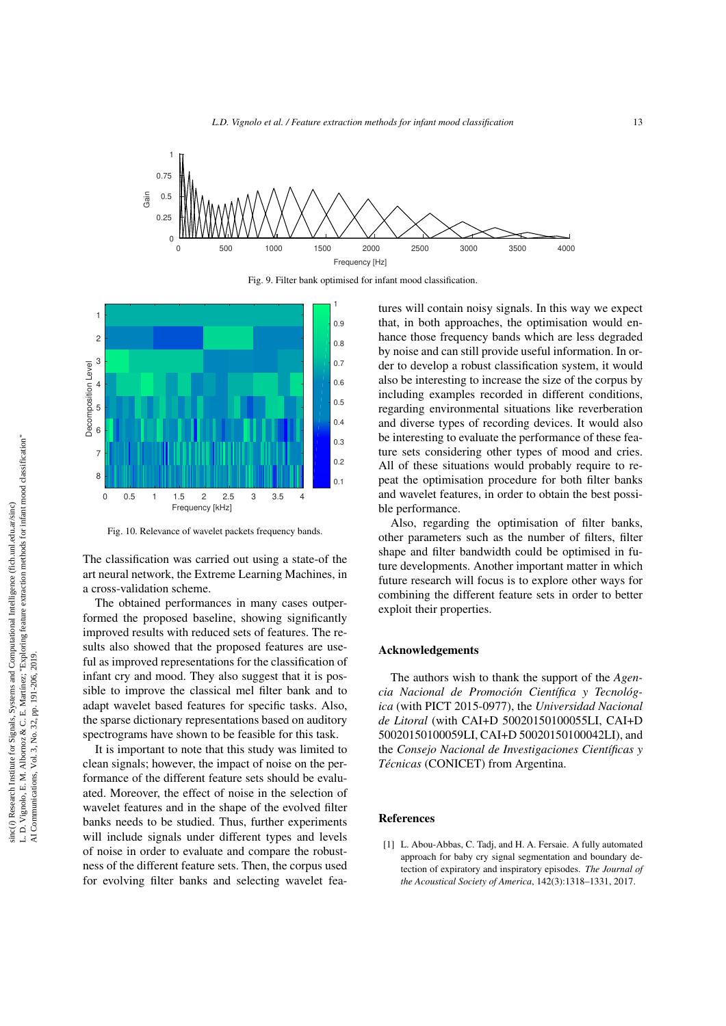

<span id="page-12-1"></span>Fig. 9. Filter bank optimised for infant mood classification.



<span id="page-12-2"></span>Fig. 10. Relevance of wavelet packets frequency bands.

The classification was carried out using a state-of the art neural network, the Extreme Learning Machines, in a cross-validation scheme.

The obtained performances in many cases outperformed the proposed baseline, showing significantly improved results with reduced sets of features. The results also showed that the proposed features are useful as improved representations for the classification of infant cry and mood. They also suggest that it is possible to improve the classical mel filter bank and to adapt wavelet based features for specific tasks. Also, the sparse dictionary representations based on auditory spectrograms have shown to be feasible for this task.

It is important to note that this study was limited to clean signals; however, the impact of noise on the performance of the different feature sets should be evaluated. Moreover, the effect of noise in the selection of wavelet features and in the shape of the evolved filter banks needs to be studied. Thus, further experiments will include signals under different types and levels of noise in order to evaluate and compare the robustness of the different feature sets. Then, the corpus used for evolving filter banks and selecting wavelet features will contain noisy signals. In this way we expect that, in both approaches, the optimisation would enhance those frequency bands which are less degraded by noise and can still provide useful information. In order to develop a robust classification system, it would also be interesting to increase the size of the corpus by including examples recorded in different conditions, regarding environmental situations like reverberation and diverse types of recording devices. It would also be interesting to evaluate the performance of these feature sets considering other types of mood and cries. All of these situations would probably require to repeat the optimisation procedure for both filter banks and wavelet features, in order to obtain the best possible performance.

Also, regarding the optimisation of filter banks, other parameters such as the number of filters, filter shape and filter bandwidth could be optimised in future developments. Another important matter in which future research will focus is to explore other ways for combining the different feature sets in order to better exploit their properties.

## Acknowledgements

The authors wish to thank the support of the *Agencia Nacional de Promoción Científica y Tecnológica* (with PICT 2015-0977), the *Universidad Nacional de Litoral* (with CAI+D 50020150100055LI, CAI+D 50020150100059LI, CAI+D 50020150100042LI), and the *Consejo Nacional de Investigaciones Científicas y Técnicas* (CONICET) from Argentina.

# References

<span id="page-12-0"></span>[1] L. Abou-Abbas, C. Tadj, and H. A. Fersaie. A fully automated approach for baby cry signal segmentation and boundary detection of expiratory and inspiratory episodes. *The Journal of the Acoustical Society of America*, 142(3):1318–1331, 2017.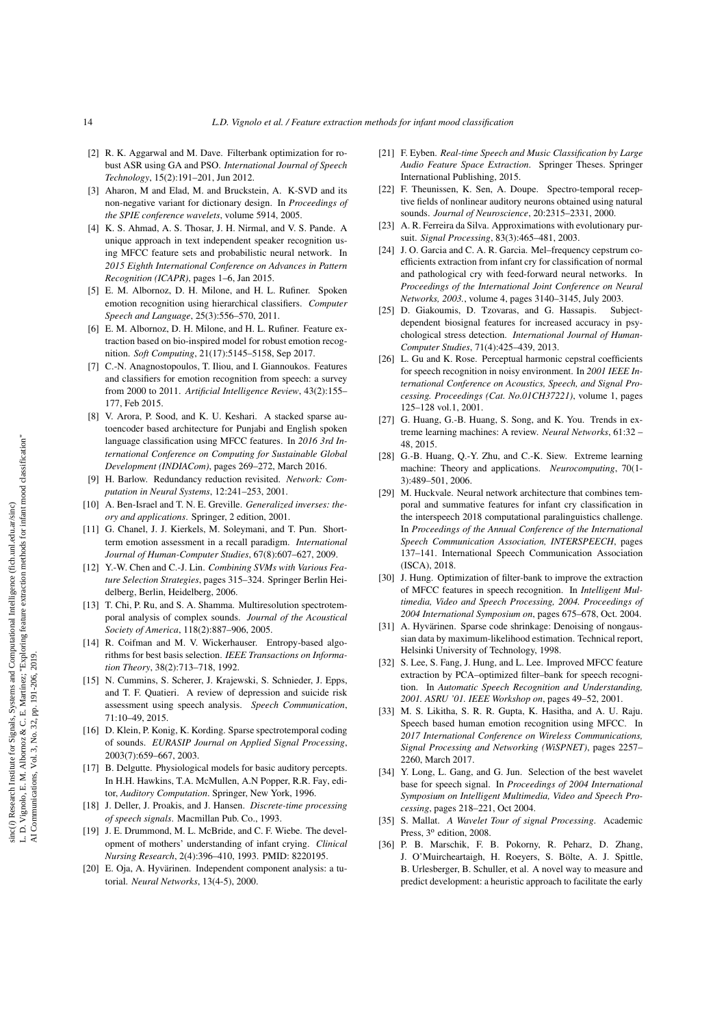- <span id="page-13-10"></span>[2] R. K. Aggarwal and M. Dave. Filterbank optimization for robust ASR using GA and PSO. *International Journal of Speech Technology*, 15(2):191–201, Jun 2012.
- <span id="page-13-27"></span>[3] Aharon, M and Elad, M. and Bruckstein, A. K-SVD and its non-negative variant for dictionary design. In *Proceedings of the SPIE conference wavelets*, volume 5914, 2005.
- <span id="page-13-6"></span>[4] K. S. Ahmad, A. S. Thosar, J. H. Nirmal, and V. S. Pande. A unique approach in text independent speaker recognition using MFCC feature sets and probabilistic neural network. In *2015 Eighth International Conference on Advances in Pattern Recognition (ICAPR)*, pages 1–6, Jan 2015.
- <span id="page-13-20"></span>[5] E. M. Albornoz, D. H. Milone, and H. L. Rufiner. Spoken emotion recognition using hierarchical classifiers. *Computer Speech and Language*, 25(3):556–570, 2011.
- <span id="page-13-21"></span>[6] E. M. Albornoz, D. H. Milone, and H. L. Rufiner. Feature extraction based on bio-inspired model for robust emotion recognition. *Soft Computing*, 21(17):5145–5158, Sep 2017.
- <span id="page-13-14"></span>[7] C.-N. Anagnostopoulos, T. Iliou, and I. Giannoukos. Features and classifiers for emotion recognition from speech: a survey from 2000 to 2011. *Artificial Intelligence Review*, 43(2):155– 177, Feb 2015.
- <span id="page-13-8"></span>[8] V. Arora, P. Sood, and K. U. Keshari. A stacked sparse autoencoder based architecture for Punjabi and English spoken language classification using MFCC features. In *2016 3rd International Conference on Computing for Sustainable Global Development (INDIACom)*, pages 269–272, March 2016.
- <span id="page-13-23"></span>[9] H. Barlow. Redundancy reduction revisited. *Network: Computation in Neural Systems*, 12:241–253, 2001.
- <span id="page-13-33"></span>[10] A. Ben-Israel and T. N. E. Greville. *Generalized inverses: theory and applications*. Springer, 2 edition, 2001.
- <span id="page-13-0"></span>[11] G. Chanel, J. J. Kierkels, M. Soleymani, and T. Pun. Shortterm emotion assessment in a recall paradigm. *International Journal of Human-Computer Studies*, 67(8):607–627, 2009.
- <span id="page-13-25"></span>[12] Y.-W. Chen and C.-J. Lin. *Combining SVMs with Various Feature Selection Strategies*, pages 315–324. Springer Berlin Heidelberg, Berlin, Heidelberg, 2006.
- <span id="page-13-24"></span>[13] T. Chi, P. Ru, and S. A. Shamma. Multiresolution spectrotemporal analysis of complex sounds. *Journal of the Acoustical Society of America*, 118(2):887–906, 2005.
- <span id="page-13-30"></span>[14] R. Coifman and M. V. Wickerhauser. Entropy-based algorithms for best basis selection. *IEEE Transactions on Information Theory*, 38(2):713–718, 1992.
- <span id="page-13-2"></span>[15] N. Cummins, S. Scherer, J. Krajewski, S. Schnieder, J. Epps, and T. F. Quatieri. A review of depression and suicide risk assessment using speech analysis. *Speech Communication*, 71:10–49, 2015.
- <span id="page-13-17"></span>[16] D. Klein, P. Konig, K. Kording. Sparse spectrotemporal coding of sounds. *EURASIP Journal on Applied Signal Processing*, 2003(7):659–667, 2003.
- <span id="page-13-15"></span>[17] B. Delgutte. Physiological models for basic auditory percepts. In H.H. Hawkins, T.A. McMullen, A.N Popper, R.R. Fay, editor, *Auditory Computation*. Springer, New York, 1996.
- <span id="page-13-5"></span>[18] J. Deller, J. Proakis, and J. Hansen. *Discrete-time processing of speech signals*. Macmillan Pub. Co., 1993.
- <span id="page-13-3"></span>[19] J. E. Drummond, M. L. McBride, and C. F. Wiebe. The development of mothers' understanding of infant crying. *Clinical Nursing Research*, 2(4):396–410, 1993. PMID: 8220195.
- <span id="page-13-18"></span>[20] E. Oja, A. Hyvärinen. Independent component analysis: a tutorial. *Neural Networks*, 13(4-5), 2000.
- <span id="page-13-22"></span>[21] F. Eyben. *Real-time Speech and Music Classification by Large Audio Feature Space Extraction*. Springer Theses. Springer International Publishing, 2015.
- <span id="page-13-16"></span>[22] F. Theunissen, K. Sen, A. Doupe. Spectro-temporal receptive fields of nonlinear auditory neurons obtained using natural sounds. *Journal of Neuroscience*, 20:2315–2331, 2000.
- <span id="page-13-29"></span>[23] A. R. Ferreira da Silva. Approximations with evolutionary pursuit. *Signal Processing*, 83(3):465–481, 2003.
- <span id="page-13-9"></span>[24] J. O. Garcia and C. A. R. Garcia. Mel–frequency cepstrum coefficients extraction from infant cry for classification of normal and pathological cry with feed-forward neural networks. In *Proceedings of the International Joint Conference on Neural Networks, 2003.*, volume 4, pages 3140–3145, July 2003.
- <span id="page-13-1"></span>[25] D. Giakoumis, D. Tzovaras, and G. Hassapis. Subjectdependent biosignal features for increased accuracy in psychological stress detection. *International Journal of Human-Computer Studies*, 71(4):425–439, 2013.
- <span id="page-13-13"></span>[26] L. Gu and K. Rose. Perceptual harmonic cepstral coefficients for speech recognition in noisy environment. In *2001 IEEE International Conference on Acoustics, Speech, and Signal Processing. Proceedings (Cat. No.01CH37221)*, volume 1, pages 125–128 vol.1, 2001.
- <span id="page-13-34"></span>[27] G. Huang, G.-B. Huang, S. Song, and K. You. Trends in extreme learning machines: A review. *Neural Networks*, 61:32 – 48, 2015.
- <span id="page-13-32"></span>[28] G.-B. Huang, Q.-Y. Zhu, and C.-K. Siew. Extreme learning machine: Theory and applications. *Neurocomputing*, 70(1- 3):489–501, 2006.
- <span id="page-13-4"></span>[29] M. Huckvale. Neural network architecture that combines temporal and summative features for infant cry classification in the interspeech 2018 computational paralinguistics challenge. In *Proceedings of the Annual Conference of the International Speech Communication Association, INTERSPEECH*, pages 137–141. International Speech Communication Association (ISCA), 2018.
- <span id="page-13-11"></span>[30] J. Hung. Optimization of filter-bank to improve the extraction of MFCC features in speech recognition. In *Intelligent Multimedia, Video and Speech Processing, 2004. Proceedings of 2004 International Symposium on*, pages 675–678, Oct. 2004.
- <span id="page-13-26"></span>[31] A. Hyvärinen. Sparse code shrinkage: Denoising of nongaussian data by maximum-likelihood estimation. Technical report, Helsinki University of Technology, 1998.
- <span id="page-13-12"></span>[32] S. Lee, S. Fang, J. Hung, and L. Lee. Improved MFCC feature extraction by PCA–optimized filter–bank for speech recognition. In *Automatic Speech Recognition and Understanding, 2001. ASRU '01. IEEE Workshop on*, pages 49–52, 2001.
- <span id="page-13-7"></span>[33] M. S. Likitha, S. R. R. Gupta, K. Hasitha, and A. U. Raju. Speech based human emotion recognition using MFCC. In *2017 International Conference on Wireless Communications, Signal Processing and Networking (WiSPNET)*, pages 2257– 2260, March 2017.
- <span id="page-13-31"></span>[34] Y. Long, L. Gang, and G. Jun. Selection of the best wavelet base for speech signal. In *Proceedings of 2004 International Symposium on Intelligent Multimedia, Video and Speech Processing*, pages 218–221, Oct 2004.
- <span id="page-13-28"></span>[35] S. Mallat. *A Wavelet Tour of signal Processing*. Academic Press, 3º edition, 2008.
- <span id="page-13-19"></span>[36] P. B. Marschik, F. B. Pokorny, R. Peharz, D. Zhang, J. O'Muircheartaigh, H. Roeyers, S. Bölte, A. J. Spittle, B. Urlesberger, B. Schuller, et al. A novel way to measure and predict development: a heuristic approach to facilitate the early